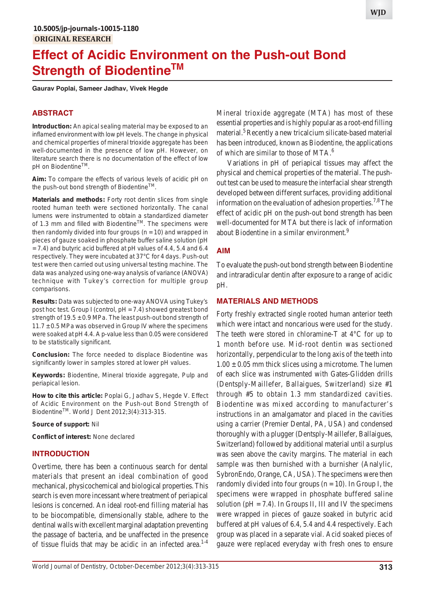# **Effect of Acidic Environment on the Push-out Bond Strength of Biodentine™**

**Gaurav Poplai, Sameer Jadhav, Vivek Hegde**

# **ABSTRACT**

**Introduction:** An apical sealing material may be exposed to an inflamed environment with low pH levels. The change in physical and chemical properties of mineral trioxide aggregate has been well-documented in the presence of low pH. However, on literature search there is no documentation of the effect of low pH on Biodentine™.

**Aim:** To compare the effects of various levels of acidic pH on the push-out bond strength of Biodentine™.

**Materials and methods:** Forty root dentin slices from single rooted human teeth were sectioned horizontally. The canal lumens were instrumented to obtain a standardized diameter of 1.3 mm and filled with Biodentine™. The specimens were then randomly divided into four groups ( $n = 10$ ) and wrapped in pieces of gauze soaked in phosphate buffer saline solution (pH = 7.4) and butyric acid buffered at pH values of 4.4, 5.4 and 6.4 respectively. They were incubated at 37°C for 4 days. Push-out test were then carried out using universal testing machine. The data was analyzed using one-way analysis of variance (ANOVA) technique with Tukey's correction for multiple group comparisons.

**Results:** Data was subjected to one-way ANOVA using Tukey's post hoc test. Group I (control, pH = 7.4) showed greatest bond strength of  $19.5 \pm 0.9$  MPa. The least push-out bond strength of  $11.7 \pm 0.5$  MPa was observed in Group IV where the specimens were soaked at pH 4.4. A p-value less than 0.05 were considered to be statistically significant.

**Conclusion:** The force needed to displace Biodentine was significantly lower in samples stored at lower pH values.

**Keywords:** Biodentine, Mineral trioxide aggregate, Pulp and periapical lesion.

**How to cite this article:** Poplai G, Jadhav S, Hegde V. Effect of Acidic Environment on the Push-out Bond Strength of BiodentineTM. World J Dent 2012;3(4):313-315.

**Source of support:** Nil

**Conflict of interest:** None declared

## **INTRODUCTION**

Overtime, there has been a continuous search for dental materials that present an ideal combination of good mechanical, physicochemical and biological properties. This search is even more incessant where treatment of periapical lesions is concerned. An ideal root-end filling material has to be biocompatible, dimensionally stable, adhere to the dentinal walls with excellent marginal adaptation preventing the passage of bacteria, and be unaffected in the presence of tissue fluids that may be acidic in an infected area.<sup>1-4</sup> Mineral trioxide aggregate (MTA) has most of these essential properties and is highly popular as a root-end filling material.<sup>5</sup> Recently a new tricalcium silicate-based material has been introduced, known as Biodentine, the applications of which are similar to those of MTA.<sup>6</sup>

Variations in pH of periapical tissues may affect the physical and chemical properties of the material. The pushout test can be used to measure the interfacial shear strength developed between different surfaces, providing additional information on the evaluation of adhesion properties.<sup>7,8</sup> The effect of acidic pH on the push-out bond strength has been well-documented for MTA but there is lack of information about Biodentine in a similar environment.<sup>9</sup>

#### **AIM**

To evaluate the push-out bond strength between Biodentine and intraradicular dentin after exposure to a range of acidic pH.

# **MATERIALS AND METHODS**

Forty freshly extracted single rooted human anterior teeth which were intact and noncarious were used for the study. The teeth were stored in chloramine-T at 4°C for up to 1 month before use. Mid-root dentin was sectioned horizontally, perpendicular to the long axis of the teeth into  $1.00 \pm 0.05$  mm thick slices using a microtome. The lumen of each slice was instrumented with Gates-Glidden drills (Dentsply-Maillefer, Ballaigues, Switzerland) size #1 through #5 to obtain 1.3 mm standardized cavities. Biodentine was mixed according to manufacturer's instructions in an amalgamator and placed in the cavities using a carrier (Premier Dental, PA, USA) and condensed thoroughly with a plugger (Dentsply-Maillefer, Ballaigues, Switzerland) followed by additional material until a surplus was seen above the cavity margins. The material in each sample was then burnished with a burnisher (Analylic, SybronEndo, Orange, CA, USA). The specimens were then randomly divided into four groups ( $n = 10$ ). In Group I, the specimens were wrapped in phosphate buffered saline solution ( $pH = 7.4$ ). In Groups II, III and IV the specimens were wrapped in pieces of gauze soaked in butyric acid buffered at pH values of 6.4, 5.4 and 4.4 respectively. Each group was placed in a separate vial. Acid soaked pieces of gauze were replaced everyday with fresh ones to ensure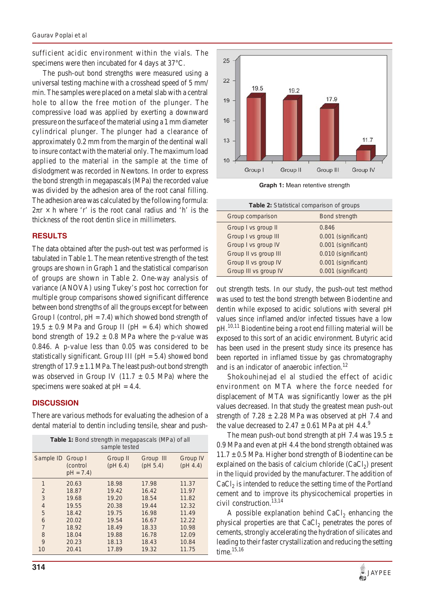sufficient acidic environment within the vials. The specimens were then incubated for 4 days at 37°C.

The push-out bond strengths were measured using a universal testing machine with a crosshead speed of 5 mm/ min. The samples were placed on a metal slab with a central hole to allow the free motion of the plunger. The compressive load was applied by exerting a downward pressure on the surface of the material using a 1 mm diameter cylindrical plunger. The plunger had a clearance of approximately 0.2 mm from the margin of the dentinal wall to insure contact with the material only. The maximum load applied to the material in the sample at the time of dislodgment was recorded in Newtons. In order to express the bond strength in megapascals (MPa) the recorded value was divided by the adhesion area of the root canal filling. The adhesion area was calculated by the following formula:  $2\pi r \times h$  where 'r' is the root canal radius and 'h' is the thickness of the root dentin slice in millimeters.

## **RESULTS**

The data obtained after the push-out test was performed is tabulated in Table 1. The mean retentive strength of the test groups are shown in Graph 1 and the statistical comparison of groups are shown in Table 2. One-way analysis of variance (ANOVA) using Tukey's post hoc correction for multiple group comparisons showed significant difference between bond strengths of all the groups except for between Group I (control,  $pH = 7.4$ ) which showed bond strength of 19.5  $\pm$  0.9 MPa and Group II (pH = 6.4) which showed bond strength of  $19.2 \pm 0.8$  MPa where the p-value was 0.846. A p-value less than 0.05 was considered to be statistically significant. Group III ( $pH = 5.4$ ) showed bond strength of  $17.9 \pm 1.1$  MPa. The least push-out bond strength was observed in Group IV (11.7  $\pm$  0.5 MPa) where the specimens were soaked at  $pH = 4.4$ .

# **DISCUSSION**

There are various methods for evaluating the adhesion of a dental material to dentin including tensile, shear and push-

| <b>Table 1:</b> Bond strength in megapascals (MPa) of all<br>sample tested |                        |                      |                       |                      |
|----------------------------------------------------------------------------|------------------------|----------------------|-----------------------|----------------------|
| Sample ID Group I                                                          | (control<br>$pH = 7.4$ | Group II<br>(pH 6.4) | Group III<br>(pH 5.4) | Group IV<br>(pH 4.4) |
| 1                                                                          | 20.63                  | 18.98                | 17.98                 | 11.37                |
| $\overline{2}$                                                             | 18.87                  | 19.42                | 16.42                 | 11.97                |
| 3                                                                          | 19.68                  | 19.20                | 18.54                 | 11.82                |
| $\overline{4}$                                                             | 19.55                  | 20.38                | 19.44                 | 12.32                |
| 5                                                                          | 18.42                  | 19.75                | 16.98                 | 11.49                |
| 6                                                                          | 20.02                  | 19.54                | 16.67                 | 12.22                |
| $\overline{7}$                                                             | 18.92                  | 18.49                | 18.33                 | 10.98                |
| 8                                                                          | 18.04                  | 19.88                | 16.78                 | 12.09                |
| 9                                                                          | 20.23                  | 18.13                | 18.43                 | 10.84                |
| 10                                                                         | 20.41                  | 17.89                | 19.32                 | 11.75                |



**Graph 1:** Mean retentive strength

| <b>Table 2:</b> Statistical comparison of groups |                      |  |  |
|--------------------------------------------------|----------------------|--|--|
| Group comparison                                 | <b>Bond strength</b> |  |  |
| Group I vs group II                              | 0.846                |  |  |
| Group I vs group III                             | 0.001 (significant)  |  |  |
| Group I vs group IV                              | 0.001 (significant)  |  |  |
| Group II vs group III                            | 0.010 (significant)  |  |  |
| Group II vs group IV                             | 0.001 (significant)  |  |  |
| Group III vs group IV                            | 0.001 (significant)  |  |  |

out strength tests. In our study, the push-out test method was used to test the bond strength between Biodentine and dentin while exposed to acidic solutions with several pH values since inflamed and/or infected tissues have a low pH.<sup>10,11</sup> Biodentine being a root end filling material will be exposed to this sort of an acidic environment. Butyric acid has been used in the present study since its presence has been reported in inflamed tissue by gas chromatography and is an indicator of anaerobic infection.<sup>12</sup>

Shokouhinejad el al studied the effect of acidic environment on MTA where the force needed for displacement of MTA was significantly lower as the pH values decreased. In that study the greatest mean push-out strength of  $7.28 \pm 2.28$  MPa was observed at pH 7.4 and the value decreased to  $2.47 \pm 0.61$  MPa at pH 4.4.<sup>9</sup>

The mean push-out bond strength at pH 7.4 was  $19.5 \pm$ 0.9 MPa and even at pH 4.4 the bond strength obtained was  $11.7 \pm 0.5$  MPa. Higher bond strength of Biodentine can be explained on the basis of calcium chloride  $(CaCl<sub>2</sub>)$  present in the liquid provided by the manufacturer. The addition of  $CaCl<sub>2</sub>$  is intended to reduce the setting time of the Portland cement and to improve its physicochemical properties in civil construction.<sup>13,14</sup>

A possible explanation behind  $CaCl<sub>2</sub>$  enhancing the physical properties are that  $CaCl<sub>2</sub>$  penetrates the pores of cements, strongly accelerating the hydration of silicates and leading to their faster crystallization and reducing the setting time.<sup>15,16</sup>